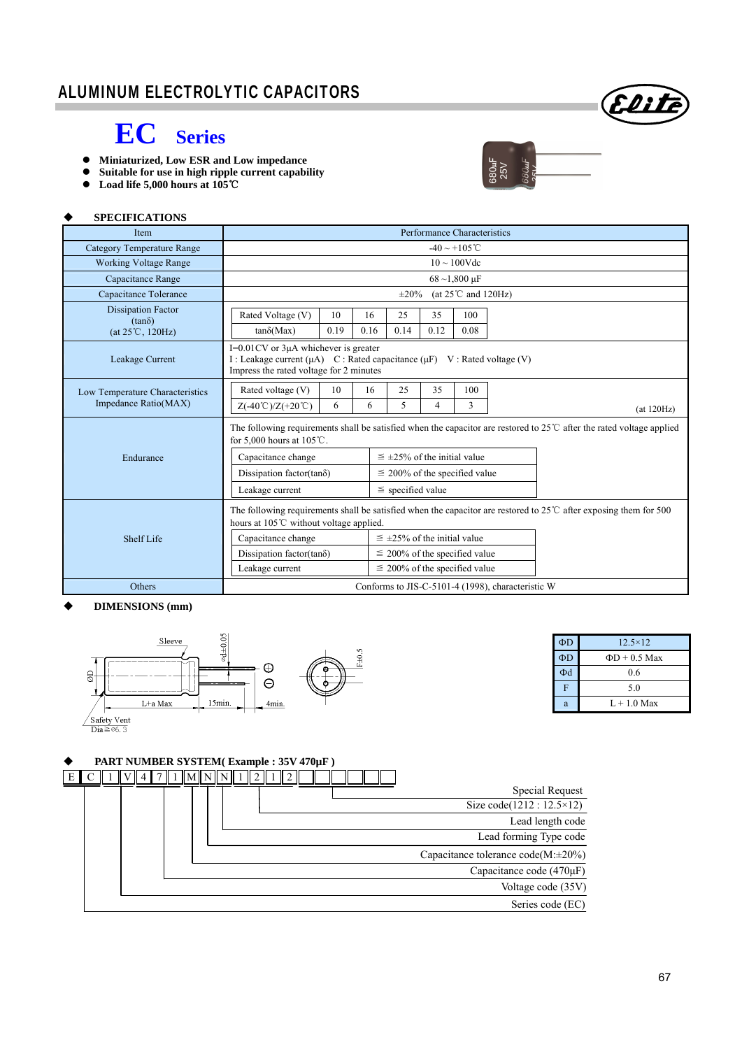

## **EC Series**

- **Miniaturized, Low ESR and Low impedance**
- **Suitable for use in high ripple current capability**
- **Load life 5,000 hours at 105**℃



#### **SPECIFICATIONS**

| Item                                                                    | Performance Characteristics                                                                                                                                          |      |      |                                      |      |      |  |            |
|-------------------------------------------------------------------------|----------------------------------------------------------------------------------------------------------------------------------------------------------------------|------|------|--------------------------------------|------|------|--|------------|
| <b>Category Temperature Range</b>                                       | $-40 \sim +105$ °C                                                                                                                                                   |      |      |                                      |      |      |  |            |
| <b>Working Voltage Range</b>                                            | $10 \sim 100$ Vdc                                                                                                                                                    |      |      |                                      |      |      |  |            |
| Capacitance Range                                                       | $68 - 1,800 \text{ µF}$                                                                                                                                              |      |      |                                      |      |      |  |            |
| Capacitance Tolerance                                                   | (at $25^{\circ}$ C and $120$ Hz)<br>$\pm 20\%$                                                                                                                       |      |      |                                      |      |      |  |            |
| <b>Dissipation Factor</b><br>$(tan\delta)$<br>$(at 25^{\circ}C, 120Hz)$ | Rated Voltage (V)                                                                                                                                                    | 10   | 16   | 25                                   | 35   | 100  |  |            |
|                                                                         | $tan\delta(Max)$                                                                                                                                                     | 0.19 | 0.16 | 0.14                                 | 0.12 | 0.08 |  |            |
| Leakage Current                                                         | $I=0.01$ CV or $3\mu A$ whichever is greater<br>I : Leakage current (μA) C : Rated capacitance (μF) V : Rated voltage (V)<br>Impress the rated voltage for 2 minutes |      |      |                                      |      |      |  |            |
| Low Temperature Characteristics<br>Impedance Ratio(MAX)                 | Rated voltage (V)                                                                                                                                                    | 10   | 16   | 25                                   | 35   | 100  |  |            |
|                                                                         | $Z(-40^{\circ}\text{C})/Z(+20^{\circ}\text{C})$                                                                                                                      | 6    | 6    | 5                                    | 4    | 3    |  | (at 120Hz) |
|                                                                         | The following requirements shall be satisfied when the capacitor are restored to $25^{\circ}$ after the rated voltage applied<br>for 5,000 hours at $105^{\circ}$ C. |      |      |                                      |      |      |  |            |
| Endurance                                                               | Capacitance change                                                                                                                                                   |      |      | $\leq$ ±25% of the initial value     |      |      |  |            |
|                                                                         | Dissipation factor(tan $\delta$ )                                                                                                                                    |      |      | $\leq$ 200% of the specified value   |      |      |  |            |
|                                                                         | Leakage current                                                                                                                                                      |      |      | $\le$ specified value                |      |      |  |            |
|                                                                         | The following requirements shall be satisfied when the capacitor are restored to $25^{\circ}$ after exposing them for 500<br>hours at 105°C without voltage applied. |      |      |                                      |      |      |  |            |
| Shelf Life                                                              | Capacitance change                                                                                                                                                   |      |      | $\leq \pm 25\%$ of the initial value |      |      |  |            |
|                                                                         | Dissipation factor(tan $\delta$ )                                                                                                                                    |      |      | $\leq$ 200% of the specified value   |      |      |  |            |
|                                                                         | Leakage current                                                                                                                                                      |      |      | $\leq$ 200% of the specified value   |      |      |  |            |
| Others                                                                  | Conforms to JIS-C-5101-4 (1998), characteristic W                                                                                                                    |      |      |                                      |      |      |  |            |

#### **DIMENSIONS (mm)**



#### $\Phi D$  12.5×12  $\Phi D$   $\Phi D + 0.5$  Max  $\Phi$ d 0.6 F 5.0  $L + 1.0$  Max

#### ◆ PART NUMBER SYSTEM( Example : 35V 470µF)